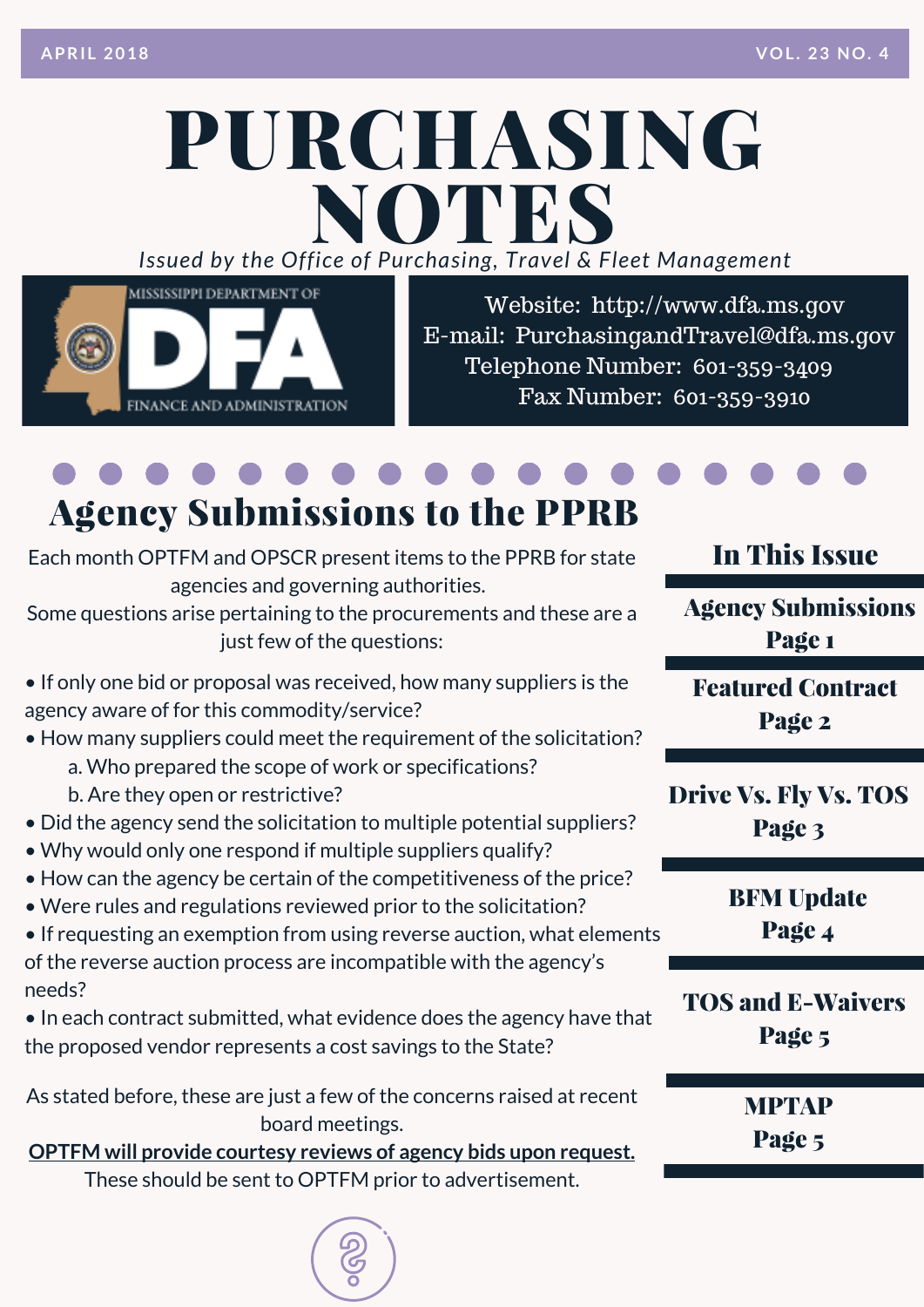## PURCHASING *Issued by the Off ice of Purcha sing, T ravel & Fleet Management* NOTES



Website: http://www.dfa.ms.gov E-mail: [PurchasingandTravel@dfa.ms.gov](http://www.dfa.ms.gov/) Telephone Number: 601-359-3409 Fax Number: 601-359-3910

## Agency Submissions to the PPRB

Each month OPTFM and OPSCR present items to the PPRB for state agencies and governing authorities.

Some questions arise pertaining to the [procurements](http://www.dfa.ms.gov/media/6506/memo-agency-submissions-to-the-public-procurement-review-board-3-23-18.pdf) and these are a just few of the questions:

- If only one bid or proposal was received, how many suppliers is the agency aware of for this [commodity/service?](http://www.dfa.ms.gov/media/6506/memo-agency-submissions-to-the-public-procurement-review-board-3-23-18.pdf)
- How many suppliers could meet the requirement of the solicitation?
	- a. Who prepared the scope of work or specifications?
	- b. Are they open or restrictive?
- Did the agency send the solicitation to multiple potential suppliers?
- Why would only one respond if multiple suppliers qualify?
- How can the agency be certain of the competitiveness of the price?
- Were rules and regulations reviewed prior to the solicitation?
- If requesting an exemption from using reverse auction, what elements of the reverse auction process are incompatible with the agency's needs?
- In each contract submitted, what evidence does the agency have that the proposed vendor represents a cost savings to the State?

As stated before, these are just a few of the concerns raised at recent board meetings.

**OPTFM will provide courtesy reviews of agency bids upon request.** These should be sent to OPTFM prior to [advertisement.](http://www.dfa.ms.gov/media/6506/memo-agency-submissions-to-the-public-procurement-review-board-3-23-18.pdf)

#### In This Issue

Agency Submissions Page 1

Featured Contract Page 2

Drive Vs. Fly Vs. TOS Page 3

> BFM Update Page 4

TOS and E-Waivers Page 5

> MPTAP Page 5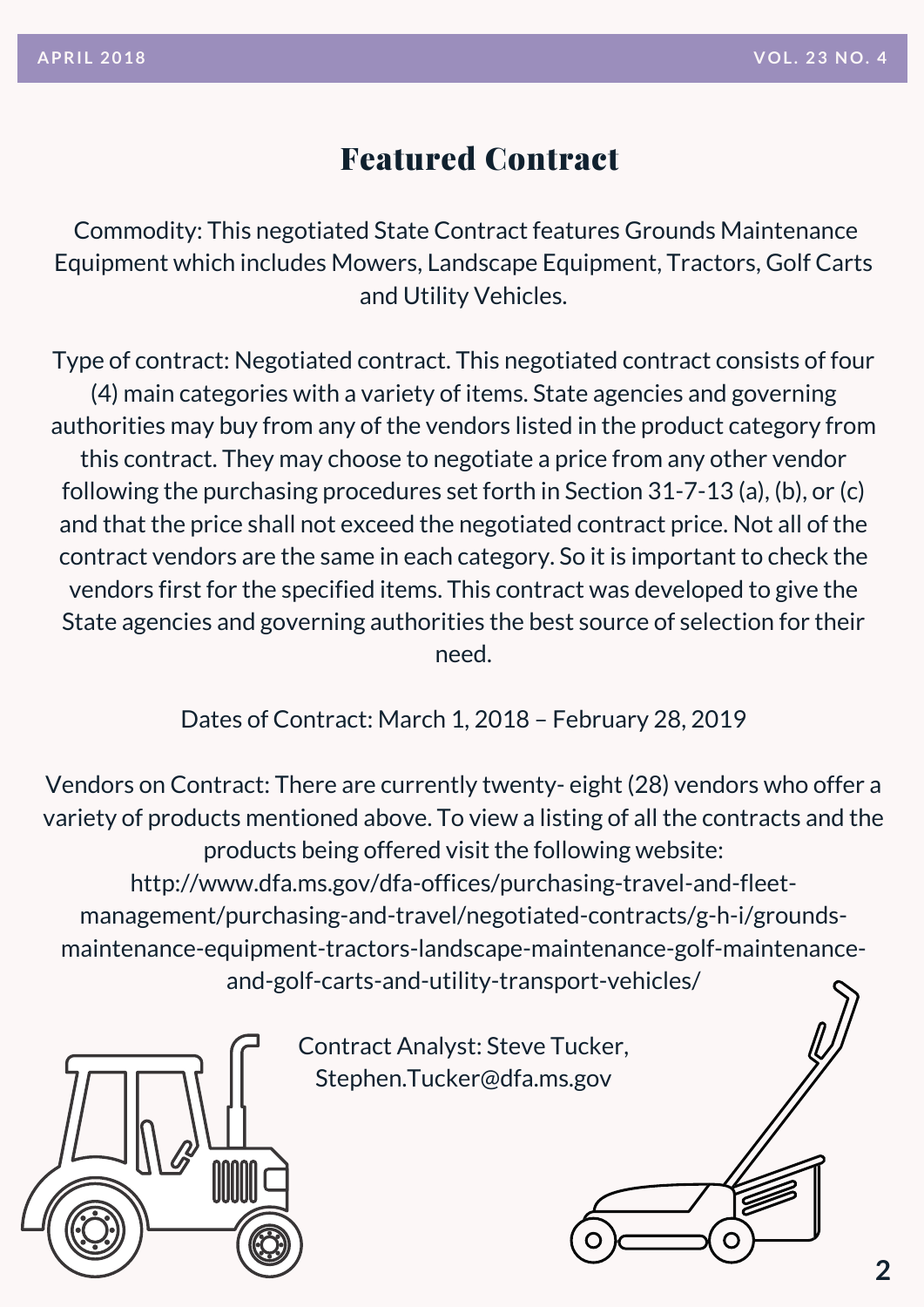#### Featured Contract

Commodity: This negotiated State Contract features Grounds Maintenance Equipment which includes Mowers, Landscape Equipment, Tractors, Golf Carts and Utility Vehicles.

Type of contract: Negotiated contract. This negotiated contract consists of four (4) main categories with a variety of items. State agencies and governing authorities may buy from any of the vendors listed in the product category from this contract. They may choose to negotiate a price from any other vendor following the purchasing procedures set forth in Section 31-7-13 (a), (b), or (c) and that the price shall not exceed the negotiated contract price. Not all of the contract vendors are the same in each category. So it is important to check the vendors first for the specified items. This contract was developed to give the State agencies and governing authorities the best source of selection for their need.

Dates of Contract: March 1, 2018 – February 28, 2019

Vendors on Contract: There are currently twenty- eight (28) vendors who offer a variety of products mentioned above. To view a listing of all the contracts and the products being offered visit the following website: http://www.dfa.ms.gov/dfa-offices/purchasing-travel-and-fleetmanagement/purchasing-and-travel/negotiated-contracts/g-h-i/grounds[maintenance-equipment-tractors-landscape-maintenance-golf-maintenance](http://www.dfa.ms.gov/dfa-offices/purchasing-travel-and-fleet-management/purchasing-and-travel/negotiated-contracts/g-h-i/grounds-maintenance-equipment-tractors-landscape-maintenance-golf-maintenance-and-golf-carts-and-utility-transport-vehicles/)and-golf-carts-and-utility-transport-vehicles/



Contract Analyst: Steve Tucker, Stephen.Tucker@dfa.ms.gov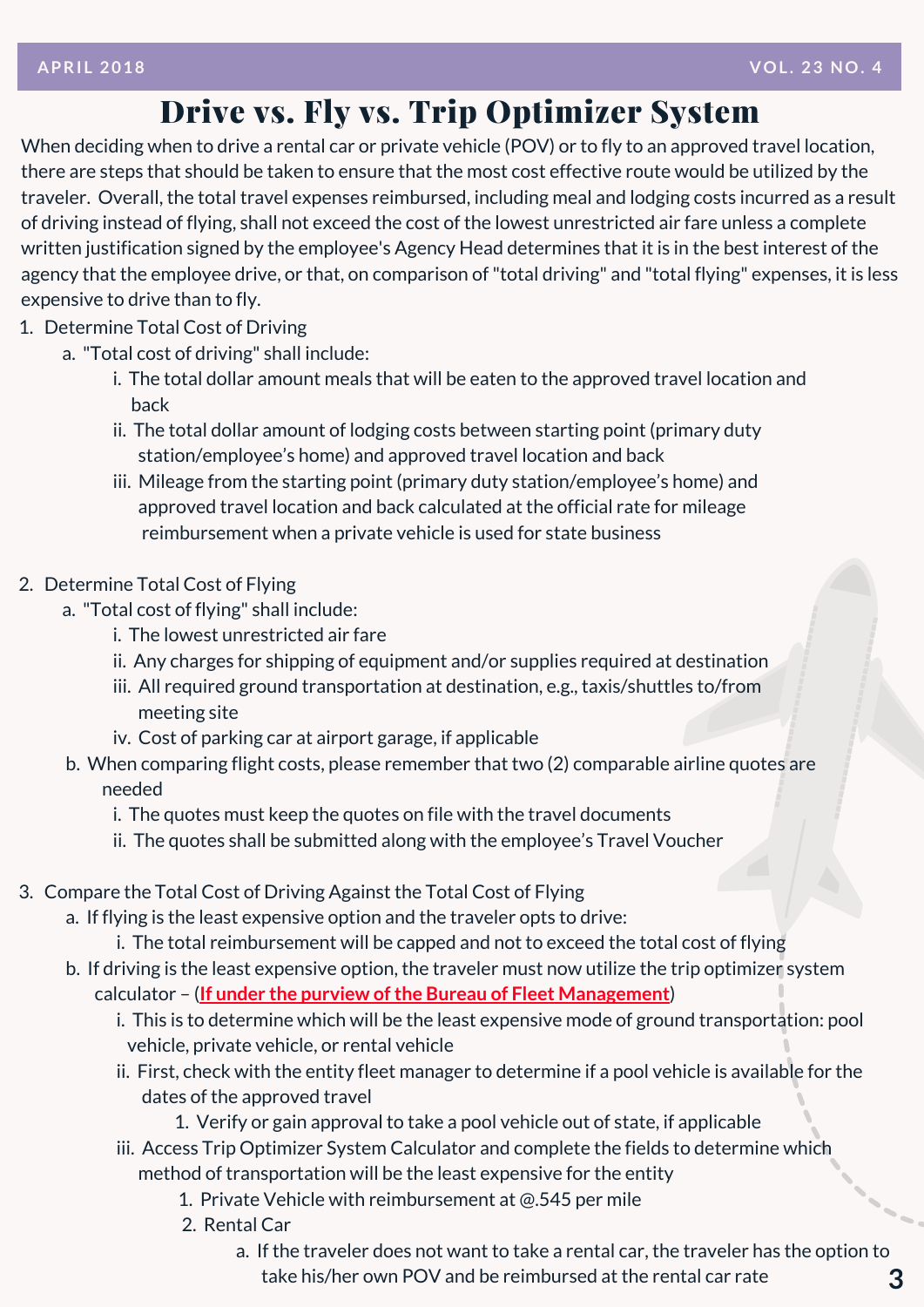#### Drive vs. Fly vs. Trip Optimizer System

When deciding when to drive a rental car or private vehicle (POV) or to fly to an approved travel location, there are steps that should be taken to ensure that the most cost effective route would be utilized by the traveler. Overall, the total travel expenses reimbursed, including meal and lodging costs incurred as a result of driving instead of flying, shall not exceed the cost of the lowest [unrestricted](http://www.dfa.ms.gov/media/1567/travelcardprogramcoordinatordesignation.pdf) air fare unless a complete written justification signed by the employee's Agency Head determines that it is in the best interest of the agency that the employee drive, or that, on comparison of "total driving" and "total flying" expenses, it is less expensive to drive than to fly.

- 1. Determine Total Cost of Driving
	- a. "Total cost of driving" shall include:
		- i. The total dollar amount meals that will be eaten to the approved travel location and back
		- ii. The total dollar amount of lodging costs between starting point (primary duty [station/employee's](http://www.dfa.ms.gov/media/6230/tos-0118.xls) home) and approved travel location and back
		- iii. Mileage from the starting point (primary duty station/employee's home) and approved travel location and back calculated at the official rate for mileage reimbursement when a private vehicle is used for state business
- 2. Determine Total Cost of Flying
	- a. "Total cost of flying" shall include:
		- i. The lowest unrestricted air fare
		- ii. Any charges for shipping of equipment and/or supplies required at destination
		- iii. All required ground transportation at destination, e.g., taxis/shuttles to/from meeting site
		- iv. Cost of parking car at airport garage, if applicable
	- b. When comparing flight costs, please remember that two (2) comparable airline quotes are needed
		- i. The quotes must keep the quotes on file with the travel documents
		- ii. The quotes shall be submitted along with the employee's Travel Voucher
- 3. Compare the Total Cost of Driving Against the Total Cost of Flying
	- a. If flying is the least expensive option and the traveler opts to drive:
		- i. The total reimbursement will be capped and not to exceed the total cost of flying
	- b. If driving is the least expensive option, the traveler must now utilize the trip optimizer system calculator – (**If under the purview ofthe Bureau of Fleet Management**)
		- i. This is to determine which will be the least expensive mode of ground transportation: pool vehicle, private vehicle, or rental vehicle
		- ii. First, check with the entity fleet manager to determine if a pool vehicle is available for the dates of the approved travel
			- 1. Verify or gain approval to take a pool vehicle out of state, if applicable
		- iii. Access Trip Optimizer System Calculator and complete the fields to determine which method of transportation will be the least expensive for the entity
			- 1. Private Vehicle with reimbursement at @.545 per mile
			- 2. Rental Car
				- a. If the traveler does not want to take a rental car, the traveler has the option to take his/her own POV and be reimbursed at the rental car rate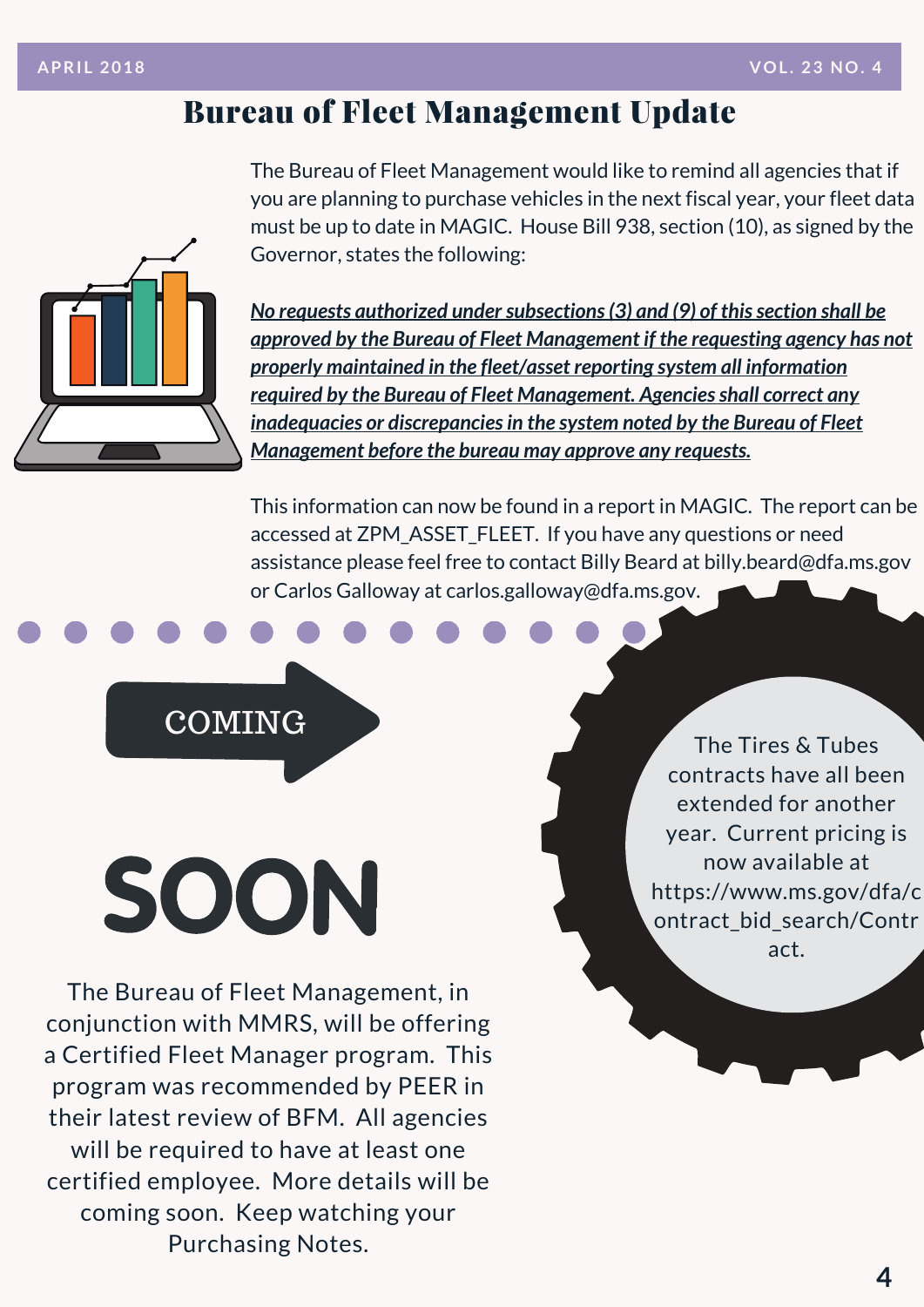#### Bureau of Fleet Management Update



The Bureau of Fleet Management would like to remind all agencies that if you are planning to purchase vehicles in the next fiscal year, your fleet data must be up to date in MAGIC. House Bill 938, section (10), as signed by the Governor, states the following:

*No requests authorized under subsections* (3) *and* (9) *of this section shall be approved by the Bureau of Fleet Management if the requesting agency has not properly maintained in the fleet/asset reporting system all information required by the Bureau of Fleet Management. Agenciesshall correct any inadequacies or discrepanciesin the system noted by the Bureau of Fleet Management before the bureau may approve any requests.*

This information can now be found in a report in MAGIC. The report can be accessed at ZPM\_ASSET\_FLEET. If you have any questions or need assistance please feel free to contact Billy Beard at billy.beard@dfa.ms.gov or Carlos Galloway at [carlos.galloway@dfa.ms.gov.](http://www.dfa.ms.gov/media/1567/travelcardprogramcoordinatordesignation.pdf)

**COMING** 

# SOON

The Bureau of Fleet Management, in conjunction with MMRS, will be offering a Certified Fleet Manager program. This program was [recommended](https://www.ms.gov/dfa/contract_bid_search/Contract) by PEER in their latest review of BFM. All agencies will be required to have at least one certified employee. More details will be coming soon. Keep watching your Purchasing Notes.

The Tires & Tubes contracts have all been extended for another year. Current pricing is now available at [https://www.ms.gov/dfa/c](https://www.ms.gov/dfa/contract_bid_search/Contract) ontract\_bid\_search/Contr act.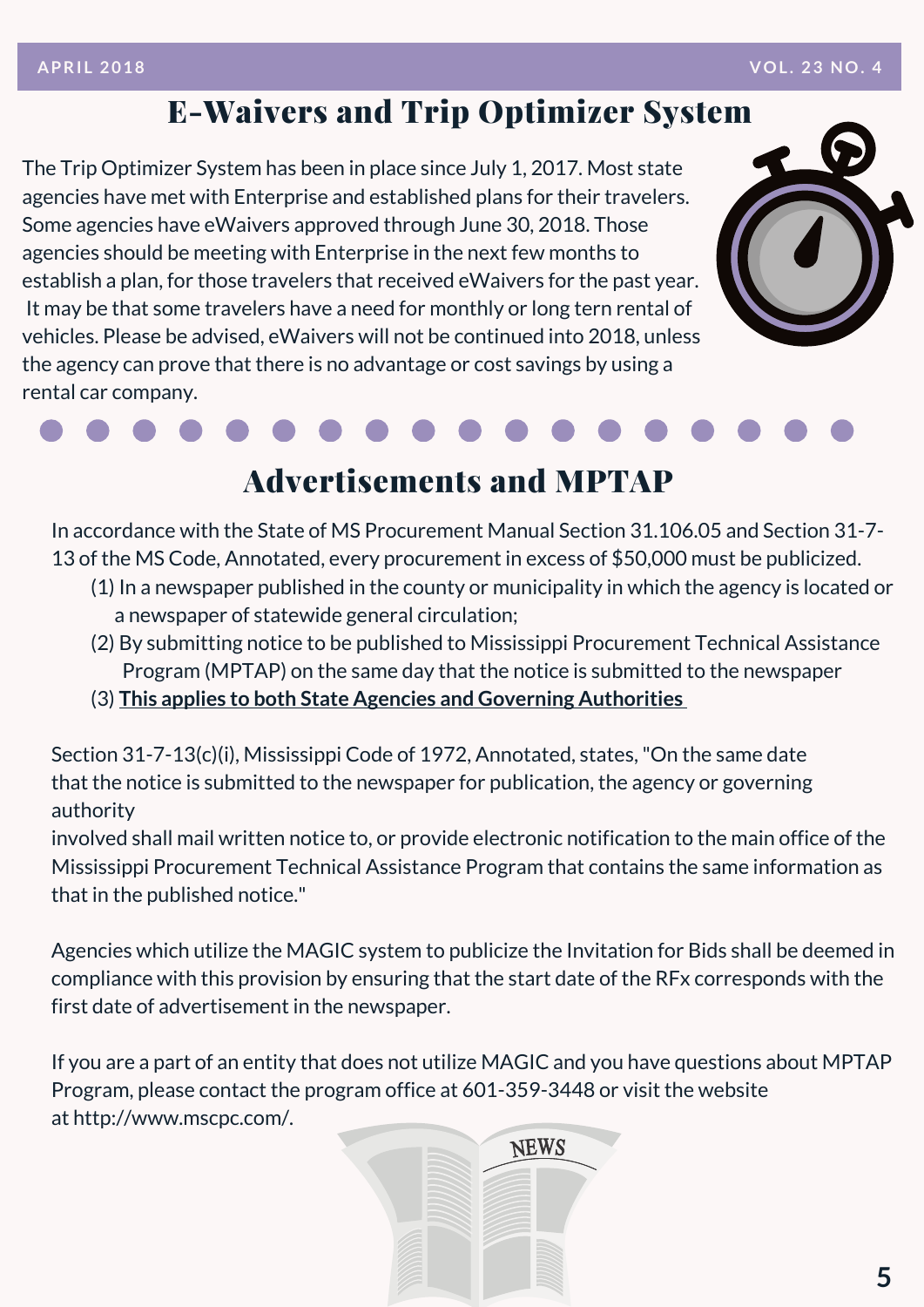#### E-Waivers and Trip Optimizer System

The Trip Optimizer System has been in place since July 1, 2017. Most state agencies have met with Enterprise and [established](http://www.dfa.ms.gov/media/1567/travelcardprogramcoordinatordesignation.pdf) plans for their travelers. Some agencies have eWaivers approved through June 30, 2018. Those agencies should be meeting with Enterprise in the next few months to establish a plan, for those travelers that received eWaivers for the past year. It may be that some travelers have a need for monthly or long tern rental of vehicles. Please be advised, eWaivers will not be continued into 2018, unless the agency can prove that there is no advantage or cost savings by using a rental car company.



### Advertisements and MPTAP

In accordance with the State of MS Procurement Manual Section 31.106.05 and Section 31-7- 13 of the MS Code, Annotated, every procurement in excess of \$50,000 must be publicized.

- (1) In a newspaper published in the county or municipality in which the agency is located or a newspaper of statewide general circulation;
- (2) By submitting notice to be published to Mississippi Procurement Technical Assistance Program (MPTAP) on the same day that the notice is submitted to the newspaper
- (3) **This applies to both State Agencies and Governing Authorities**

Section 31-7-13(c)(i), Mississippi Code of 1972, Annotated, states,"On the same date that the notice is submitted to the newspaper for publication, the agency or governing authority

involved shall mail written notice to, or provide electronic notification to the main office of the Mississippi Procurement Technical Assistance Program that contains the same information as that in the published notice."

Agencies which utilize the MAGIC system to publicize the Invitation for Bids shall be deemed in compliance with this provision by ensuring that the start date of the RFx corresponds with the first date of advertisement in the newspaper.

If you are a part of an entity that does not utilize MAGIC and you have questions about MPTAP Program, please contact the program office at 601-359-3448 or visit the website at [http://www.mscpc.com/.](http://www.mscpc.com/)